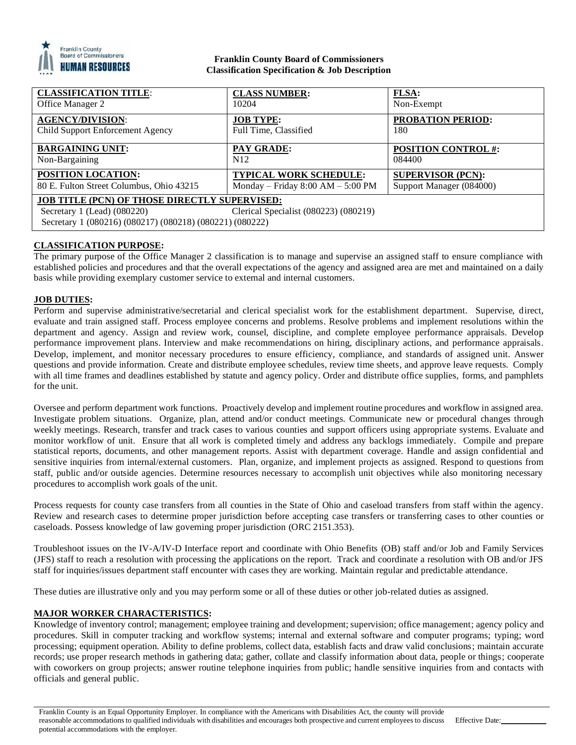

### **Franklin County Board of Commissioners Classification Specification & Job Description**

| <b>CLASSIFICATION TITLE:</b>                             | <b>CLASS NUMBER:</b>                  | <b>FLSA:</b>               |
|----------------------------------------------------------|---------------------------------------|----------------------------|
| Office Manager 2                                         | 10204                                 | Non-Exempt                 |
| <b>AGENCY/DIVISION:</b>                                  | <b>JOB TYPE:</b>                      | <b>PROBATION PERIOD:</b>   |
| Child Support Enforcement Agency                         | Full Time, Classified                 | 180                        |
| <b>BARGAINING UNIT:</b>                                  | <b>PAY GRADE:</b>                     | <b>POSITION CONTROL #:</b> |
| Non-Bargaining                                           | N <sub>12</sub>                       | 084400                     |
| <b>POSITION LOCATION:</b>                                | <b>TYPICAL WORK SCHEDULE:</b>         | <b>SUPERVISOR (PCN):</b>   |
| 80 E. Fulton Street Columbus, Ohio 43215                 | Monday – Friday $8:00$ AM – $5:00$ PM | Support Manager (084000)   |
| <b>JOB TITLE (PCN) OF THOSE DIRECTLY SUPERVISED:</b>     |                                       |                            |
| Secretary 1 (Lead) $(080220)$                            | Clerical Specialist (080223) (080219) |                            |
| Secretary 1 (080216) (080217) (080218) (080221) (080222) |                                       |                            |

# **CLASSIFICATION PURPOSE:**

The primary purpose of the Office Manager 2 classification is to manage and supervise an assigned staff to ensure compliance with established policies and procedures and that the overall expectations of the agency and assigned area are met and maintained on a daily basis while providing exemplary customer service to external and internal customers.

## **JOB DUTIES:**

Perform and supervise administrative/secretarial and clerical specialist work for the establishment department. Supervise, direct, evaluate and train assigned staff. Process employee concerns and problems. Resolve problems and implement resolutions within the department and agency. Assign and review work, counsel, discipline, and complete employee performance appraisals. Develop performance improvement plans. Interview and make recommendations on hiring, disciplinary actions, and performance appraisals. Develop, implement, and monitor necessary procedures to ensure efficiency, compliance, and standards of assigned unit. Answer questions and provide information. Create and distribute employee schedules, review time sheets, and approve leave requests. Comply with all time frames and deadlines established by statute and agency policy. Order and distribute office supplies, forms, and pamphlets for the unit.

Oversee and perform department work functions. Proactively develop and implement routine procedures and workflow in assigned area. Investigate problem situations. Organize, plan, attend and/or conduct meetings. Communicate new or procedural changes through weekly meetings. Research, transfer and track cases to various counties and support officers using appropriate systems. Evaluate and monitor workflow of unit. Ensure that all work is completed timely and address any backlogs immediately. Compile and prepare statistical reports, documents, and other management reports. Assist with department coverage. Handle and assign confidential and sensitive inquiries from internal/external customers. Plan, organize, and implement projects as assigned. Respond to questions from staff, public and/or outside agencies. Determine resources necessary to accomplish unit objectives while also monitoring necessary procedures to accomplish work goals of the unit.

Process requests for county case transfers from all counties in the State of Ohio and caseload transfers from staff within the agency. Review and research cases to determine proper jurisdiction before accepting case transfers or transferring cases to other counties or caseloads. Possess knowledge of law governing proper jurisdiction (ORC 2151.353).

Troubleshoot issues on the IV-A/IV-D Interface report and coordinate with Ohio Benefits (OB) staff and/or Job and Family Services (JFS) staff to reach a resolution with processing the applications on the report. Track and coordinate a resolution with OB and/or JFS staff for inquiries/issues department staff encounter with cases they are working. Maintain regular and predictable attendance.

These duties are illustrative only and you may perform some or all of these duties or other job-related duties as assigned.

## **MAJOR WORKER CHARACTERISTICS:**

Knowledge of inventory control; management; employee training and development; supervision; office management; agency policy and procedures. Skill in computer tracking and workflow systems; internal and external software and computer programs; typing; word processing; equipment operation. Ability to define problems, collect data, establish facts and draw valid conclusions; maintain accurate records; use proper research methods in gathering data; gather, collate and classify information about data, people or things; cooperate with coworkers on group projects; answer routine telephone inquiries from public; handle sensitive inquiries from and contacts with officials and general public.